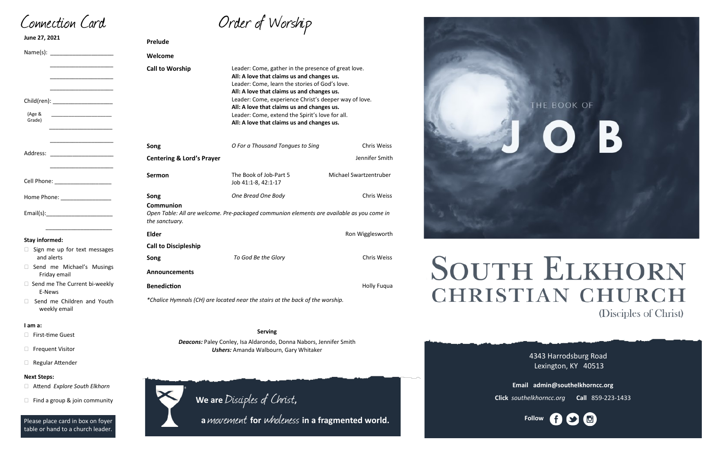| Order of Worship |  |
|------------------|--|
|------------------|--|

4343 Harrodsburg Road Lexington, KY 40513



**Email admin@southelkhorncc.org**

| June 27, 2021                                       | Prelude                                                                              |                                                                                                                                                                                                                                                                                                                                                                                                           |                        |
|-----------------------------------------------------|--------------------------------------------------------------------------------------|-----------------------------------------------------------------------------------------------------------------------------------------------------------------------------------------------------------------------------------------------------------------------------------------------------------------------------------------------------------------------------------------------------------|------------------------|
| Name(s): _______________________                    | Welcome                                                                              |                                                                                                                                                                                                                                                                                                                                                                                                           |                        |
| Child(ren): ___________________<br>(Age &<br>Grade) | <b>Call to Worship</b>                                                               | Leader: Come, gather in the presence of great love.<br>All: A love that claims us and changes us.<br>Leader: Come, learn the stories of God's love.<br>All: A love that claims us and changes us.<br>Leader: Come, experience Christ's deeper way of love.<br>All: A love that claims us and changes us.<br>Leader: Come, extend the Spirit's love for all.<br>All: A love that claims us and changes us. |                        |
|                                                     | Song                                                                                 | O For a Thousand Tongues to Sing                                                                                                                                                                                                                                                                                                                                                                          | <b>Chris Weiss</b>     |
| Address:                                            | <b>Centering &amp; Lord's Prayer</b>                                                 |                                                                                                                                                                                                                                                                                                                                                                                                           | Jennifer Smith         |
| Cell Phone: ____________________                    | <b>Sermon</b>                                                                        | The Book of Job-Part 5<br>Job 41:1-8, 42:1-17                                                                                                                                                                                                                                                                                                                                                             | Michael Swartzentruber |
|                                                     | Song                                                                                 | One Bread One Body                                                                                                                                                                                                                                                                                                                                                                                        | <b>Chris Weiss</b>     |
|                                                     | Communion<br>the sanctuary.                                                          | Open Table: All are welcome. Pre-packaged communion elements are available as you come in                                                                                                                                                                                                                                                                                                                 |                        |
| <b>Stay informed:</b>                               | <b>Elder</b>                                                                         |                                                                                                                                                                                                                                                                                                                                                                                                           | Ron Wigglesworth       |
| $\Box$ Sign me up for text messages                 | <b>Call to Discipleship</b>                                                          |                                                                                                                                                                                                                                                                                                                                                                                                           |                        |
| and alerts                                          | Song                                                                                 | To God Be the Glory                                                                                                                                                                                                                                                                                                                                                                                       | <b>Chris Weiss</b>     |
| Send me Michael's Musings<br>Friday email           | <b>Announcements</b>                                                                 |                                                                                                                                                                                                                                                                                                                                                                                                           |                        |
| □ Send me The Current bi-weekly<br>E-News           | <b>Benediction</b><br><b>Holly Fuqua</b>                                             |                                                                                                                                                                                                                                                                                                                                                                                                           |                        |
| Send me Children and Youth<br>weekly email          | *Chalice Hymnals (CH) are located near the stairs at the back of the worship.        |                                                                                                                                                                                                                                                                                                                                                                                                           |                        |
| I am a:                                             |                                                                                      |                                                                                                                                                                                                                                                                                                                                                                                                           |                        |
| <b>First-time Guest</b>                             | <b>Serving</b><br>Deacons: Paley Conley, Isa Aldarondo, Donna Nabors, Jennifer Smith |                                                                                                                                                                                                                                                                                                                                                                                                           |                        |
| <b>Frequent Visitor</b>                             | <b>Ushers:</b> Amanda Walbourn, Gary Whitaker                                        |                                                                                                                                                                                                                                                                                                                                                                                                           |                        |
| Regular Attender                                    |                                                                                      |                                                                                                                                                                                                                                                                                                                                                                                                           |                        |
| <b>Next Steps:</b>                                  |                                                                                      |                                                                                                                                                                                                                                                                                                                                                                                                           |                        |
| Attend Explore South Elkhorn                        |                                                                                      |                                                                                                                                                                                                                                                                                                                                                                                                           |                        |
| Find a group & join community                       |                                                                                      | We are Disciples of Christ,                                                                                                                                                                                                                                                                                                                                                                               |                        |



# **SOUTH ELKHORN CHRISTIAN CHURCH** (Disciples of Christ)

**Click** *southelkhorncc.org* **Call** 859-223-1433

Connection Card

Please place card in box on foyer table or hand to a church leader.

 **<sup>a</sup>**movement **for** wholeness **in a fragmented world.**